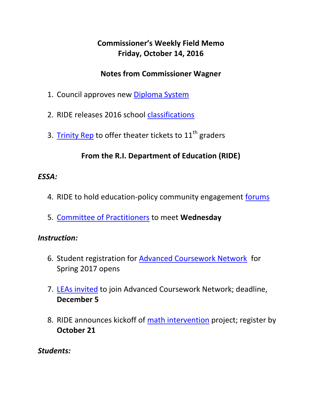# **Commissioner's Weekly Field Memo Friday, October 14, 2016**

### **Notes from Commissioner Wagner**

- 1. Council approves new [Diploma System](#page-2-0)
- 2. RIDE releases 2016 school [classifications](#page-4-0)
- 3. [Trinity Rep](#page-5-0) to offer theater tickets to  $11<sup>th</sup>$  graders

# **From the R.I. Department of Education (RIDE)**

### *ESSA:*

- 4. RIDE to hold education-policy community engagement [forums](#page-6-0)
- 5. [Committee of Practitioners](#page-6-0) to meet **Wednesday**

#### *Instruction:*

- 6. Student registration for [Advanced Coursework Network](#page-7-0) for Spring 2017 opens
- 7. [LEAs invited](#page-8-0) to join Advanced Coursework Network; deadline, **December 5**
- 8. RIDE announces kickoff of [math intervention](#page-9-0) project; register by **October 21**

### *Students:*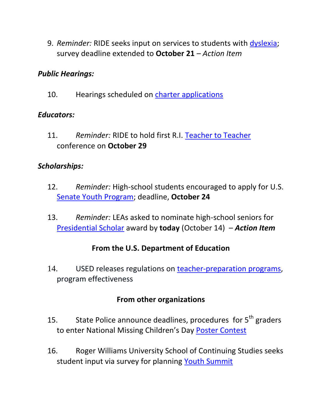9. *Reminder:* RIDE seeks input on services to students with [dyslexia;](#page-10-0) survey deadline extended to **October 21** *– Action Item*

#### *Public Hearings:*

10. Hearings scheduled on [charter applications](#page-10-1)

#### *Educators:*

11. *Reminder:* RIDE to hold first R.I. [Teacher to Teacher](#page-12-0) conference on **October 29**

### *Scholarships:*

- 12. *Reminder:* High-school students encouraged to apply for U.S. [Senate Youth Program;](#page-13-0) deadline, **October 24**
- 13. *Reminder:* LEAs asked to nominate high-school seniors for [Presidential Scholar](#page-15-0) award by **today** (October 14) – *Action Item*

#### **From the U.S. Department of Education**

14. USED releases regulations on [teacher-preparation programs,](#page-17-0) program effectiveness

### **From other organizations**

- 15. State Police announce deadlines, procedures for  $5<sup>th</sup>$  graders to enter National Missing Children's Day [Poster Contest](#page-19-0)
- 16. Roger Williams University School of Continuing Studies seeks student input via survey for planning [Youth Summit](#page-21-0)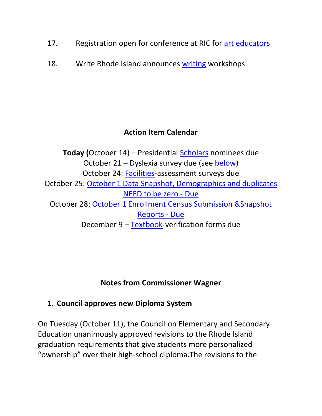- 17. Registration open for conference at RIC for [art educators](#page-21-1)
- 18. Write Rhode Island announces [writing](#page-22-0) workshops

# **Action Item Calendar**

**Today (**October 14) – Presidential [Scholars](http://www.ride.ri.gov/Portals/0/Uploads/Documents/FieldMemos/090216-FM.pdf) nominees due October 21 – Dyslexia survey due (see [below\)](#page-10-0) October 24: [Facilities-](http://www.ride.ri.gov/Portals/0/Uploads/Documents/FieldMemos/100716-FM.pdf)assessment surveys due October 25: [October 1 Data Snapshot, Demographics and duplicates](https://www.eride.ri.gov/eRide40/DataDictionary/ViewDetails.aspx?ID=339)  [NEED to be zero -](https://www.eride.ri.gov/eRide40/DataDictionary/ViewDetails.aspx?ID=339) Due October 28: [October 1 Enrollment Census Submission &Snapshot](https://www.eride.ri.gov/eRide40/DataDictionary/ViewDetails.aspx?ID=339)  [Reports -](https://www.eride.ri.gov/eRide40/DataDictionary/ViewDetails.aspx?ID=339) Due December 9 - [Textbook-](http://www.ride.ri.gov/Portals/0/Uploads/Documents/FieldMemos/100716-FM.pdf)verification forms due

### **Notes from Commissioner Wagner**

# <span id="page-2-0"></span>1. **Council approves new Diploma System**

On Tuesday (October 11), the Council on Elementary and Secondary Education unanimously approved revisions to the Rhode Island graduation requirements that give students more personalized "ownership" over their high-school diploma.The revisions to the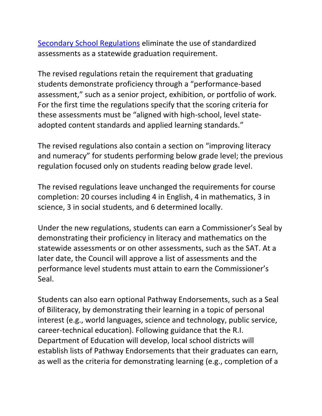[Secondary School Regulations](http://media.ride.ri.gov/BOE/CESE/101116%20Meeting/Encl6a.pdf) eliminate the use of standardized assessments as a statewide graduation requirement.

The revised regulations retain the requirement that graduating students demonstrate proficiency through a "performance-based assessment," such as a senior project, exhibition, or portfolio of work. For the first time the regulations specify that the scoring criteria for these assessments must be "aligned with high-school, level stateadopted content standards and applied learning standards."

The revised regulations also contain a section on "improving literacy and numeracy" for students performing below grade level; the previous regulation focused only on students reading below grade level.

The revised regulations leave unchanged the requirements for course completion: 20 courses including 4 in English, 4 in mathematics, 3 in science, 3 in social students, and 6 determined locally.

Under the new regulations, students can earn a Commissioner's Seal by demonstrating their proficiency in literacy and mathematics on the statewide assessments or on other assessments, such as the SAT. At a later date, the Council will approve a list of assessments and the performance level students must attain to earn the Commissioner's Seal.

Students can also earn optional Pathway Endorsements, such as a Seal of Biliteracy, by demonstrating their learning in a topic of personal interest (e.g., world languages, science and technology, public service, career-technical education). Following guidance that the R.I. Department of Education will develop, local school districts will establish lists of Pathway Endorsements that their graduates can earn, as well as the criteria for demonstrating learning (e.g., completion of a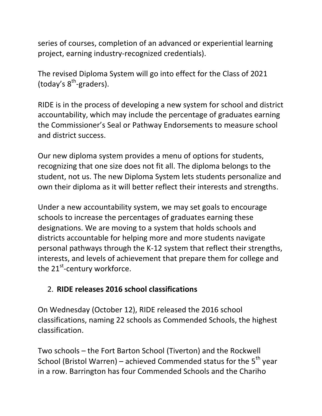series of courses, completion of an advanced or experiential learning project, earning industry-recognized credentials).

The revised Diploma System will go into effect for the Class of 2021 (today's 8<sup>th</sup>-graders).

RIDE is in the process of developing a new system for school and district accountability, which may include the percentage of graduates earning the Commissioner's Seal or Pathway Endorsements to measure school and district success.

Our new diploma system provides a menu of options for students, recognizing that one size does not fit all. The diploma belongs to the student, not us. The new Diploma System lets students personalize and own their diploma as it will better reflect their interests and strengths.

Under a new accountability system, we may set goals to encourage schools to increase the percentages of graduates earning these designations. We are moving to a system that holds schools and districts accountable for helping more and more students navigate personal pathways through the K-12 system that reflect their strengths, interests, and levels of achievement that prepare them for college and the 21<sup>st</sup>-century workforce.

### <span id="page-4-0"></span>2. **RIDE releases 2016 school classifications**

On Wednesday (October 12), RIDE released the 2016 school classifications, naming 22 schools as Commended Schools, the highest classification.

Two schools – the Fort Barton School (Tiverton) and the Rockwell School (Bristol Warren) – achieved Commended status for the  $5<sup>th</sup>$  year in a row. Barrington has four Commended Schools and the Chariho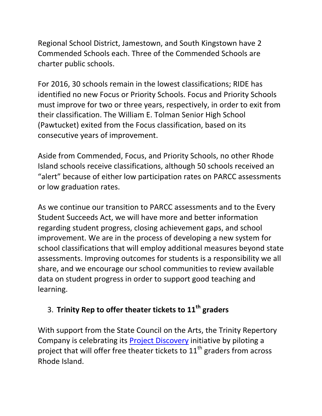Regional School District, Jamestown, and South Kingstown have 2 Commended Schools each. Three of the Commended Schools are charter public schools.

For 2016, 30 schools remain in the lowest classifications; RIDE has identified no new Focus or Priority Schools. Focus and Priority Schools must improve for two or three years, respectively, in order to exit from their classification. The William E. Tolman Senior High School (Pawtucket) exited from the Focus classification, based on its consecutive years of improvement.

Aside from Commended, Focus, and Priority Schools, no other Rhode Island schools receive classifications, although 50 schools received an "alert" because of either low participation rates on PARCC assessments or low graduation rates.

As we continue our transition to PARCC assessments and to the Every Student Succeeds Act, we will have more and better information regarding student progress, closing achievement gaps, and school improvement. We are in the process of developing a new system for school classifications that will employ additional measures beyond state assessments. Improving outcomes for students is a responsibility we all share, and we encourage our school communities to review available data on student progress in order to support good teaching and learning.

# <span id="page-5-0"></span>3. **Trinity Rep to offer theater tickets to 11th graders**

With support from the State Council on the Arts, the Trinity Repertory Company is celebrating its [Project Discovery](https://www.trinityrep.com/Online/default.asp?BOparam::WScontent::loadArticle::permalink=grade-11-project&BOparam::WScontent::loadArticle::context_id) initiative by piloting a project that will offer free theater tickets to  $11<sup>th</sup>$  graders from across Rhode Island.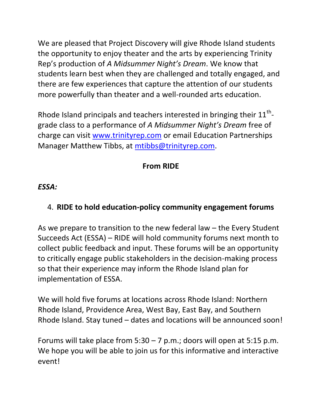We are pleased that Project Discovery will give Rhode Island students the opportunity to enjoy theater and the arts by experiencing Trinity Rep's production of *A Midsummer Night's Dream*. We know that students learn best when they are challenged and totally engaged, and there are few experiences that capture the attention of our students more powerfully than theater and a well-rounded arts education.

Rhode Island principals and teachers interested in bringing their  $11^{\text{th}}$ grade class to a performance of *A Midsummer Night's Dream* free of charge can visit [www.trinityrep.com](http://www.trinityrep.com/) or email Education Partnerships Manager Matthew Tibbs, at [mtibbs@trinityrep.com.](mailto:mtibbs@trinityrep.com)

# **From RIDE**

### <span id="page-6-0"></span>*ESSA:*

# 4. **RIDE to hold education-policy community engagement forums**

As we prepare to transition to the new federal law – the Every Student Succeeds Act (ESSA) – RIDE will hold community forums next month to collect public feedback and input. These forums will be an opportunity to critically engage public stakeholders in the decision-making process so that their experience may inform the Rhode Island plan for implementation of ESSA.

We will hold five forums at locations across Rhode Island: Northern Rhode Island, Providence Area, West Bay, East Bay, and Southern Rhode Island. Stay tuned – dates and locations will be announced soon!

Forums will take place from  $5:30 - 7$  p.m.; doors will open at  $5:15$  p.m. We hope you will be able to join us for this informative and interactive event!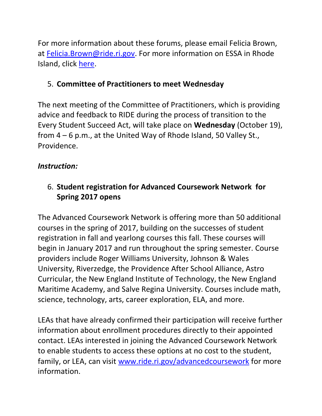For more information about these forums, please email Felicia Brown, at [Felicia.Brown@ride.ri.gov.](mailto:Felicia.Brown@ride.ri.gov) For more information on ESSA in Rhode Island, click [here.](http://www.ride.ri.gov/InformationAccountability/EveryStudentSucceedsAct(ESSA).aspx)

### 5. **Committee of Practitioners to meet Wednesday**

The next meeting of the Committee of Practitioners, which is providing advice and feedback to RIDE during the process of transition to the Every Student Succeed Act, will take place on **Wednesday** (October 19), from 4 – 6 p.m., at the United Way of Rhode Island, 50 Valley St., Providence.

### *Instruction:*

# <span id="page-7-0"></span>6. **Student registration for Advanced Coursework Network for Spring 2017 opens**

The Advanced Coursework Network is offering more than 50 additional courses in the spring of 2017, building on the successes of student registration in fall and yearlong courses this fall. These courses will begin in January 2017 and run throughout the spring semester. Course providers include Roger Williams University, Johnson & Wales University, Riverzedge, the Providence After School Alliance, Astro Curricular, the New England Institute of Technology, the New England Maritime Academy, and Salve Regina University. Courses include math, science, technology, arts, career exploration, ELA, and more.

LEAs that have already confirmed their participation will receive further information about enrollment procedures directly to their appointed contact. LEAs interested in joining the Advanced Coursework Network to enable students to access these options at no cost to the student, family, or LEA, can visit [www.ride.ri.gov/advancedcoursework](http://www.ride.ri.gov/advancedcoursework) for more information.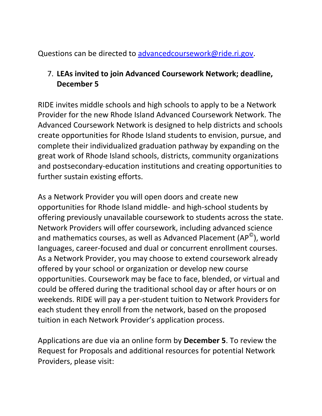Questions can be directed to [advancedcoursework@ride.ri.gov.](mailto:advancedcoursework@ride.ri.gov)

### <span id="page-8-0"></span>7. **LEAs invited to join Advanced Coursework Network; deadline, December 5**

RIDE invites middle schools and high schools to apply to be a Network Provider for the new Rhode Island Advanced Coursework Network. The Advanced Coursework Network is designed to help districts and schools create opportunities for Rhode Island students to envision, pursue, and complete their individualized graduation pathway by expanding on the great work of Rhode Island schools, districts, community organizations and postsecondary-education institutions and creating opportunities to further sustain existing efforts.

As a Network Provider you will open doors and create new opportunities for Rhode Island middle- and high-school students by offering previously unavailable coursework to students across the state. Network Providers will offer coursework, including advanced science and mathematics courses, as well as Advanced Placement (AP<sup>©</sup>), world languages, career-focused and dual or concurrent enrollment courses. As a Network Provider, you may choose to extend coursework already offered by your school or organization or develop new course opportunities. Coursework may be face to face, blended, or virtual and could be offered during the traditional school day or after hours or on weekends. RIDE will pay a per-student tuition to Network Providers for each student they enroll from the network, based on the proposed tuition in each Network Provider's application process.

Applications are due via an online form by **December 5**. To review the Request for Proposals and additional resources for potential Network Providers, please visit: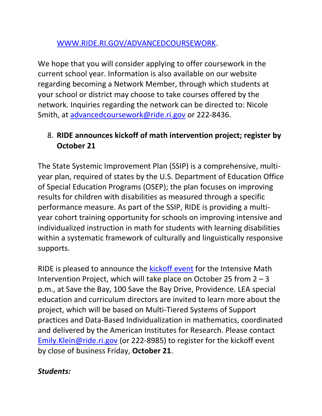#### [WWW.RIDE.RI.GOV/ADVANCEDCOURSEWORK.](WWW.RIDE.RI.GOV/ADVANCEDCOURSEWORK)

We hope that you will consider applying to offer coursework in the current school year. Information is also available on our website regarding becoming a Network Member, through which students at your school or district may choose to take courses offered by the network. Inquiries regarding the network can be directed to: Nicole Smith, at [advancedcoursework@ride.ri.gov](mailto:advancedcoursework@ride.ri.gov) or 222-8436.

# <span id="page-9-0"></span>8. **RIDE announces kickoff of math intervention project; register by October 21**

The State Systemic Improvement Plan (SSIP) is a comprehensive, multiyear plan, required of states by the U.S. Department of Education Office of Special Education Programs (OSEP); the plan focuses on improving results for children with disabilities as measured through a specific performance measure. As part of the SSIP, RIDE is providing a multiyear cohort training opportunity for schools on improving intensive and individualized instruction in math for students with learning disabilities within a systematic framework of culturally and linguistically responsive supports.

RIDE is pleased to announce the [kickoff event](http://www.ride.ri.gov/Portals/0/Uploads/Documents/Students-and-Families-Great-Schools/Special-Education/Special-Education-Regulations/AIR-RIDE-Flyer-Targeted.pdf) for the Intensive Math Intervention Project, which will take place on October 25 from  $2 - 3$ p.m., at Save the Bay, 100 Save the Bay Drive, Providence. LEA special education and curriculum directors are invited to learn more about the project, which will be based on Multi-Tiered Systems of Support practices and Data-Based Individualization in mathematics, coordinated and delivered by the American Institutes for Research. Please contact [Emily.Klein@ride.ri.gov](mailto:Emily.Klein@ride.ri.gov) (or 222-8985) to register for the kickoff event by close of business Friday, **October 21**.

### *Students:*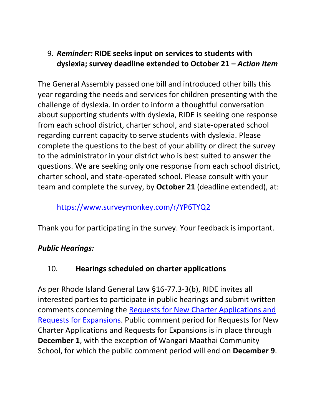## <span id="page-10-0"></span>9. *Reminder:* **RIDE seeks input on services to students with dyslexia; survey deadline extended to October 21 –** *Action Item*

The General Assembly passed one bill and introduced other bills this year regarding the needs and services for children presenting with the challenge of dyslexia. In order to inform a thoughtful conversation about supporting students with dyslexia, RIDE is seeking one response from each school district, charter school, and state-operated school regarding current capacity to serve students with dyslexia. Please complete the questions to the best of your ability or direct the survey to the administrator in your district who is best suited to answer the questions. We are seeking only one response from each school district, charter school, and state-operated school. Please consult with your team and complete the survey, by **October 21** (deadline extended), at:

### <https://www.surveymonkey.com/r/YP6TYQ2>

Thank you for participating in the survey. Your feedback is important.

### *Public Hearings:*

### <span id="page-10-1"></span>10. **Hearings scheduled on charter applications**

As per Rhode Island General Law §16-77.3-3(b), RIDE invites all interested parties to participate in public hearings and submit written comments concerning the [Requests for New Charter Applications and](http://www.ride.ri.gov/studentsfamilies/ripublicschools/charterschools.aspx#1977600-charter-school-proposals-under-review)  [Requests for Expansions.](http://www.ride.ri.gov/studentsfamilies/ripublicschools/charterschools.aspx#1977600-charter-school-proposals-under-review) Public comment period for Requests for New Charter Applications and Requests for Expansions is in place through **December 1**, with the exception of Wangari Maathai Community School, for which the public comment period will end on **December 9**.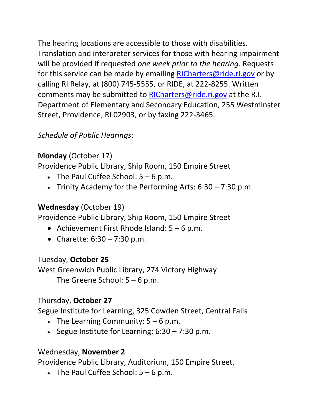The hearing locations are accessible to those with disabilities. Translation and interpreter services for those with hearing impairment will be provided if requested *one week prior to the hearing.* Requests for this service can be made by emailing [RICharters@ride.ri.gov](mailto:RICharters@ride.ri.gov) or by calling RI Relay, at (800) 745-5555, or RIDE, at 222-8255. Written comments may be submitted to [RICharters@ride.ri.gov](mailto:RICharters@ride.ri.gov) at the R.I. Department of Elementary and Secondary Education, 255 Westminster Street, Providence, RI 02903, or by faxing 222-3465.

# *Schedule of Public Hearings:*

# **Monday** (October 17)

Providence Public Library, Ship Room, 150 Empire Street

- The Paul Cuffee School:  $5 6$  p.m.
- Trinity Academy for the Performing Arts:  $6:30 7:30$  p.m.

# **Wednesday** (October 19)

Providence Public Library, Ship Room, 150 Empire Street

- Achievement First Rhode Island:  $5 6$  p.m.
- Charette:  $6:30 7:30$  p.m.

# Tuesday, **October 25**

West Greenwich Public Library, 274 Victory Highway The Greene School:  $5 - 6$  p.m.

# Thursday, **October 27**

Segue Institute for Learning, 325 Cowden Street, Central Falls

- The Learning Community:  $5 6$  p.m.
- Segue Institute for Learning:  $6:30 7:30$  p.m.

# Wednesday, **November 2**

Providence Public Library, Auditorium, 150 Empire Street,

• The Paul Cuffee School:  $5 - 6$  p.m.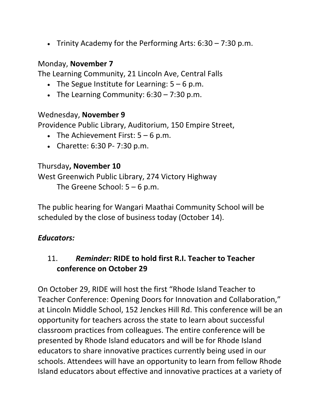Finity Academy for the Performing Arts:  $6:30 - 7:30$  p.m.

#### Monday, **November 7**

The Learning Community, 21 Lincoln Ave, Central Falls

- The Segue Institute for Learning:  $5 6$  p.m.
- The Learning Community:  $6:30 7:30$  p.m.

#### Wednesday, **November 9**

Providence Public Library, Auditorium, 150 Empire Street,

- The Achievement First:  $5 6$  p.m.
- Charette: 6:30 P- 7:30 p.m.

#### Thursday**, November 10**

West Greenwich Public Library, 274 Victory Highway

The Greene School:  $5 - 6$  p.m.

The public hearing for Wangari Maathai Community School will be scheduled by the close of business today (October 14).

#### *Educators:*

### <span id="page-12-0"></span>11. *Reminder:* **RIDE to hold first R.I. Teacher to Teacher conference on October 29**

On October 29, RIDE will host the first "Rhode Island Teacher to Teacher Conference: Opening Doors for Innovation and Collaboration," at Lincoln Middle School, 152 Jenckes Hill Rd. This conference will be an opportunity for teachers across the state to learn about successful classroom practices from colleagues. The entire conference will be presented by Rhode Island educators and will be for Rhode Island educators to share innovative practices currently being used in our schools. Attendees will have an opportunity to learn from fellow Rhode Island educators about effective and innovative practices at a variety of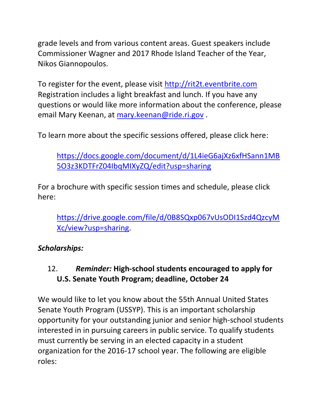grade levels and from various content areas. Guest speakers include Commissioner Wagner and 2017 Rhode Island Teacher of the Year, Nikos Giannopoulos.

To register for the event, please visit [http://rit2t.eventbrite.com](http://rit2t.eventbrite.com/) Registration includes a light breakfast and lunch. If you have any questions or would like more information about the conference, please email Mary Keenan, at [mary.keenan@ride.ri.gov](mailto:mary.keenan@ride.ri.gov) .

To learn more about the specific sessions offered, please click here:

[https://docs.google.com/document/d/1L4ieG6ajXz6xfHSann1MB](https://docs.google.com/document/d/1L4ieG6ajXz6xfHSann1MB5O3z3KDTFrZ04IbqMIXyZQ/edit?usp=sharing) [5O3z3KDTFrZ04IbqMIXyZQ/edit?usp=sharing](https://docs.google.com/document/d/1L4ieG6ajXz6xfHSann1MB5O3z3KDTFrZ04IbqMIXyZQ/edit?usp=sharing)

For a brochure with specific session times and schedule, please click here:

[https://drive.google.com/file/d/0B8SQxp067vUsODI1Szd4QzcyM](https://drive.google.com/file/d/0B8SQxp067vUsODI1Szd4QzcyMXc/view?usp=sharing) [Xc/view?usp=sharing.](https://drive.google.com/file/d/0B8SQxp067vUsODI1Szd4QzcyMXc/view?usp=sharing)

### *Scholarships:*

# <span id="page-13-0"></span>12. *Reminder:* **High-school students encouraged to apply for U.S. Senate Youth Program; deadline, October 24**

We would like to let you know about the 55th Annual United States Senate Youth Program (USSYP). This is an important scholarship opportunity for your outstanding junior and senior high-school students interested in in pursuing careers in public service. To qualify students must currently be serving in an elected capacity in a student organization for the 2016-17 school year. The following are eligible roles: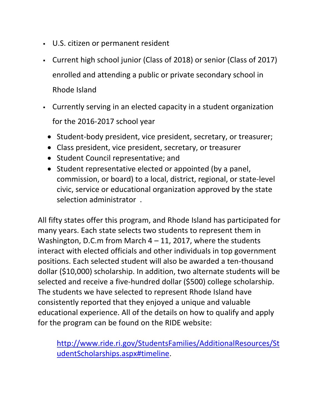- U.S. citizen or permanent resident
- Current high school junior (Class of 2018) or senior (Class of 2017) enrolled and attending a public or private secondary school in Rhode Island
- Currently serving in an elected capacity in a student organization for the 2016-2017 school year
	- Student-body president, vice president, secretary, or treasurer;
	- Class president, vice president, secretary, or treasurer
	- Student Council representative; and
	- Student representative elected or appointed (by a panel, commission, or board) to a local, district, regional, or state-level civic, service or educational organization approved by the state selection administrator .

All fifty states offer this program, and Rhode Island has participated for many years. Each state selects two students to represent them in Washington, D.C.m from March  $4 - 11$ , 2017, where the students interact with elected officials and other individuals in top government positions. Each selected student will also be awarded a ten-thousand dollar (\$10,000) scholarship. In addition, two alternate students will be selected and receive a five-hundred dollar (\$500) college scholarship. The students we have selected to represent Rhode Island have consistently reported that they enjoyed a unique and valuable educational experience. All of the details on how to qualify and apply for the program can be found on the RIDE website:

[http://www.ride.ri.gov/StudentsFamilies/AdditionalResources/St](http://www.ride.ri.gov/StudentsFamilies/AdditionalResources/StudentScholarships.aspx#timeline) [udentScholarships.aspx#timeline.](http://www.ride.ri.gov/StudentsFamilies/AdditionalResources/StudentScholarships.aspx#timeline)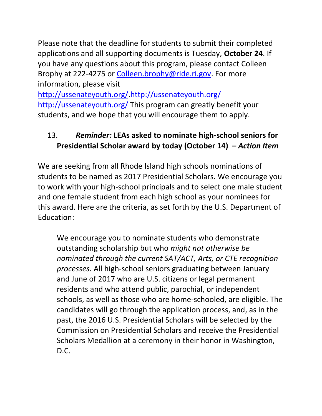Please note that the deadline for students to submit their completed applications and all supporting documents is Tuesday, **October 24**. If you have any questions about this program, please contact Colleen Brophy at 222-4275 or [Colleen.brophy@ride.ri.gov.](mailto:Colleen.brophy@ride.ri.gov) For more information, please visit

[http://ussenateyouth.org/.http://ussenateyouth.org/](http://ussenateyouth.org/) <http://ussenateyouth.org/> This program can greatly benefit your students, and we hope that you will encourage them to apply.

# <span id="page-15-0"></span>13. *Reminder:* **LEAs asked to nominate high-school seniors for Presidential Scholar award by today (October 14) –** *Action Item*

We are seeking from all Rhode Island high schools nominations of students to be named as 2017 Presidential Scholars. We encourage you to work with your high-school principals and to select one male student and one female student from each high school as your nominees for this award. Here are the criteria, as set forth by the U.S. Department of Education:

We encourage you to nominate students who demonstrate outstanding scholarship but who *might not otherwise be nominated through the current SAT/ACT, Arts, or CTE recognition processes*. All high-school seniors graduating between January and June of 2017 who are U.S. citizens or legal permanent residents and who attend public, parochial, or independent schools, as well as those who are home-schooled, are eligible. The candidates will go through the application process, and, as in the past, the 2016 U.S. Presidential Scholars will be selected by the Commission on Presidential Scholars and receive the Presidential Scholars Medallion at a ceremony in their honor in Washington, D.C.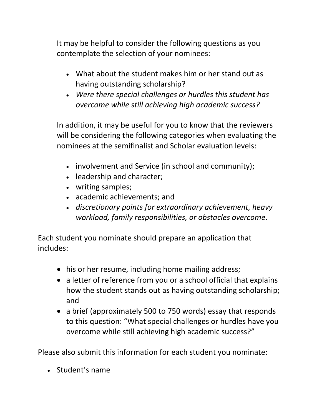It may be helpful to consider the following questions as you contemplate the selection of your nominees:

- What about the student makes him or her stand out as having outstanding scholarship?
- *Were there special challenges or hurdles this student has overcome while still achieving high academic success?*

In addition, it may be useful for you to know that the reviewers will be considering the following categories when evaluating the nominees at the semifinalist and Scholar evaluation levels:

- involvement and Service (in school and community);
- leadership and character;
- writing samples;
- academic achievements; and
- *discretionary points for extraordinary achievement, heavy workload, family responsibilities, or obstacles overcome.*

Each student you nominate should prepare an application that includes:

- his or her resume, including home mailing address;
- a letter of reference from you or a school official that explains how the student stands out as having outstanding scholarship; and
- a brief (approximately 500 to 750 words) essay that responds to this question: "What special challenges or hurdles have you overcome while still achieving high academic success?"

Please also submit this information for each student you nominate:

• Student's name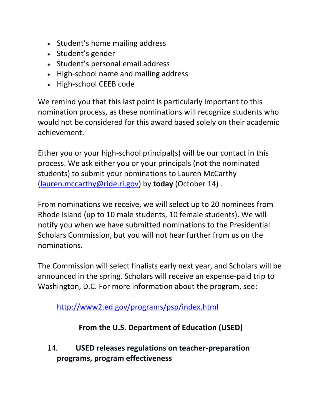- Student's home mailing address
- Student's gender
- Student's personal email address
- High-school name and mailing address
- High-school CEEB code

We remind you that this last point is particularly important to this nomination process, as these nominations will recognize students who would not be considered for this award based solely on their academic achievement.

Either you or your high-school principal(s) will be our contact in this process. We ask either you or your principals (not the nominated students) to submit your nominations to Lauren McCarthy [\(lauren.mccarthy@ride.ri.gov\)](mailto:lauren.mccarthy@ride.ri.gov) by **today** (October 14) .

From nominations we receive, we will select up to 20 nominees from Rhode Island (up to 10 male students, 10 female students). We will notify you when we have submitted nominations to the Presidential Scholars Commission, but you will not hear further from us on the nominations.

The Commission will select finalists early next year, and Scholars will be announced in the spring. Scholars will receive an expense-paid trip to Washington, D.C. For more information about the program, see:

<http://www2.ed.gov/programs/psp/index.html>

# **From the U.S. Department of Education (USED)**

<span id="page-17-0"></span>14. **USED releases regulations on teacher-preparation programs, program effectiveness**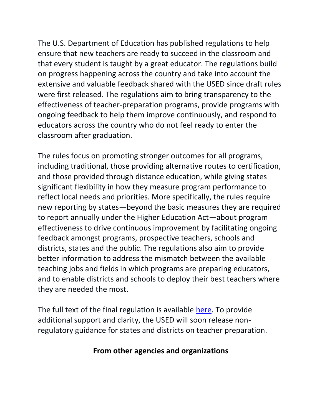The U.S. Department of Education has published regulations to help ensure that new teachers are ready to succeed in the classroom and that every student is taught by a great educator. The regulations build on progress happening across the country and take into account the extensive and valuable feedback shared with the USED since draft rules were first released. The regulations aim to bring transparency to the effectiveness of teacher-preparation programs, provide programs with ongoing feedback to help them improve continuously, and respond to educators across the country who do not feel ready to enter the classroom after graduation.

The rules focus on promoting stronger outcomes for all programs, including traditional, those providing alternative routes to certification, and those provided through distance education, while giving states significant flexibility in how they measure program performance to reflect local needs and priorities. More specifically, the rules require new reporting by states—beyond the basic measures they are required to report annually under the Higher Education Act—about program effectiveness to drive continuous improvement by facilitating ongoing feedback amongst programs, prospective teachers, schools and districts, states and the public. The regulations also aim to provide better information to address the mismatch between the available teaching jobs and fields in which programs are preparing educators, and to enable districts and schools to deploy their best teachers where they are needed the most.

The full text of the final regulation is available [here.](http://www.ed.gov/teacherprep?src=teachprep-pr) To provide additional support and clarity, the USED will soon release nonregulatory guidance for states and districts on teacher preparation.

#### **From other agencies and organizations**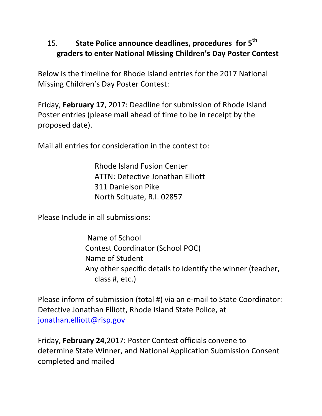# <span id="page-19-0"></span>15. **State Police announce deadlines, procedures for 5 th graders to enter National Missing Children's Day Poster Contest**

Below is the timeline for Rhode Island entries for the 2017 National Missing Children's Day Poster Contest:

Friday, **February 17**, 2017: Deadline for submission of Rhode Island Poster entries (please mail ahead of time to be in receipt by the proposed date).

Mail all entries for consideration in the contest to:

Rhode Island Fusion Center ATTN: Detective Jonathan Elliott 311 Danielson Pike North Scituate, R.I. 02857

Please Include in all submissions:

Name of School Contest Coordinator (School POC) Name of Student Any other specific details to identify the winner (teacher, class #, etc.)

Please inform of submission (total #) via an e-mail to State Coordinator: Detective Jonathan Elliott, Rhode Island State Police, at [jonathan.elliott@risp.gov](mailto:jonathan.elliott@risp.gov)

Friday, **February 24**,2017: Poster Contest officials convene to determine State Winner, and National Application Submission Consent completed and mailed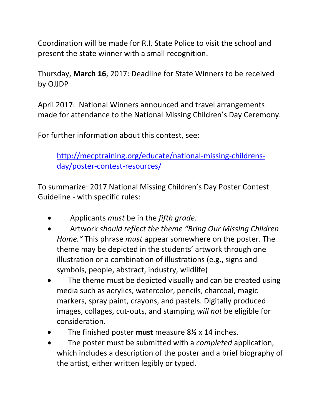Coordination will be made for R.I. State Police to visit the school and present the state winner with a small recognition.

Thursday, **March 16**, 2017: Deadline for State Winners to be received by OJJDP

April 2017: National Winners announced and travel arrangements made for attendance to the National Missing Children's Day Ceremony.

For further information about this contest, see:

[http://mecptraining.org/educate/national-missing-childrens](http://mecptraining.org/educate/national-missing-childrens-day/poster-contest-resources/)[day/poster-contest-resources/](http://mecptraining.org/educate/national-missing-childrens-day/poster-contest-resources/)

To summarize: 2017 National Missing Children's Day Poster Contest Guideline - with specific rules:

- Applicants *must* be in the *fifth grade*.
- Artwork *should reflect the theme "Bring Our Missing Children Home."* This phrase *must* appear somewhere on the poster. The theme may be depicted in the students' artwork through one illustration or a combination of illustrations (e.g., signs and symbols, people, abstract, industry, wildlife)
- The theme must be depicted visually and can be created using media such as acrylics, watercolor, pencils, charcoal, magic markers, spray paint, crayons, and pastels. Digitally produced images, collages, cut-outs, and stamping *will not* be eligible for consideration.
- The finished poster **must** measure 8½ x 14 inches.
- The poster must be submitted with a *completed* application, which includes a description of the poster and a brief biography of the artist, either written legibly or typed.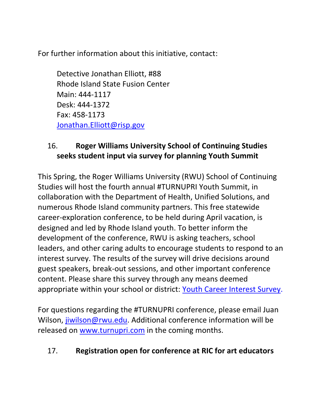For further information about this initiative, contact:

Detective Jonathan Elliott, #88 Rhode Island State Fusion Center Main: 444-1117 Desk: 444-1372 Fax: 458-1173 [Jonathan.Elliott@risp.gov](mailto:Jonathan.Elliott@risp.gov)

### <span id="page-21-0"></span>16. **Roger Williams University School of Continuing Studies seeks student input via survey for planning Youth Summit**

This Spring, the Roger Williams University (RWU) School of Continuing Studies will host the fourth annual #TURNUPRI Youth Summit, in collaboration with the Department of Health, Unified Solutions, and numerous Rhode Island community partners. This free statewide career-exploration conference, to be held during April vacation, is designed and led by Rhode Island youth. To better inform the development of the conference, RWU is asking teachers, school leaders, and other caring adults to encourage students to respond to an interest survey. The results of the survey will drive decisions around guest speakers, break-out sessions, and other important conference content. Please share this survey through any means deemed appropriate within your school or district: [Youth Career Interest Survey.](https://docs.google.com/forms/d/e/1FAIpQLSeuQJCjzaiZLz3I50IZyNX4-MDFwhCBY1ITDmuEKEHOqzMIxg/viewform)

For questions regarding the #TURNUPRI conference, please email Juan Wilson, [jiwilson@rwu.edu.](mailto:jiwilson@rwu.edu) Additional conference information will be released on [www.turnupri.com](http://www.turnupri.com/) in the coming months.

### <span id="page-21-1"></span>17. **Registration open for conference at RIC for art educators**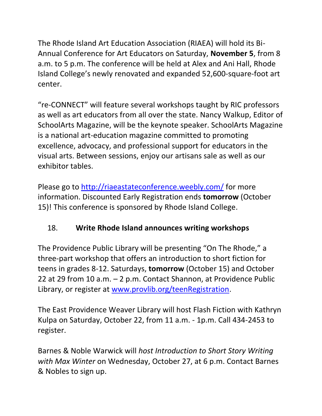The Rhode Island Art Education Association (RIAEA) will hold its Bi-Annual Conference for Art Educators on Saturday, **November 5**, from 8 a.m. to 5 p.m. The conference will be held at Alex and Ani Hall, Rhode Island College's newly renovated and expanded 52,600-square-foot art center.

"re-CONNECT" will feature several workshops taught by RIC professors as well as art educators from all over the state. [Nancy Walkup,](http://riaeastateconference.weebly.com/bio-nancy-walkup.html) Editor of SchoolArts Magazine, will be the keynote speaker. SchoolArts Magazine is a national art-education magazine committed to promoting excellence, advocacy, and professional support for educators in the visual arts. Between sessions, enjoy our artisans sale as well as our exhibitor tables.

Please go to<http://riaeastateconference.weebly.com/> for more information. Discounted Early Registration ends **tomorrow** (October 15)! This conference is sponsored by Rhode Island College.

# <span id="page-22-0"></span>18. **Write Rhode Island announces writing workshops**

The Providence Public Library will be presenting "On The Rhode," a three-part workshop that offers an introduction to short fiction for teens in grades 8-12. Saturdays, **tomorrow** (October 15) and October 22 at 29 from 10 a.m. – 2 p.m. Contact Shannon, at Providence Public Library, or register at [www.provlib.org/teenRegistration.](http://www.provlib.org/teenRegistration)

The East Providence Weaver Library will host Flash Fiction with Kathryn Kulpa on Saturday, October 22, from 11 a.m. - 1p.m. Call 434-2453 to register.

Barnes & Noble Warwick will *host Introduction to Short Story Writing with Max Winter* on Wednesday, October 27, at 6 p.m. Contact Barnes & Nobles to sign up.